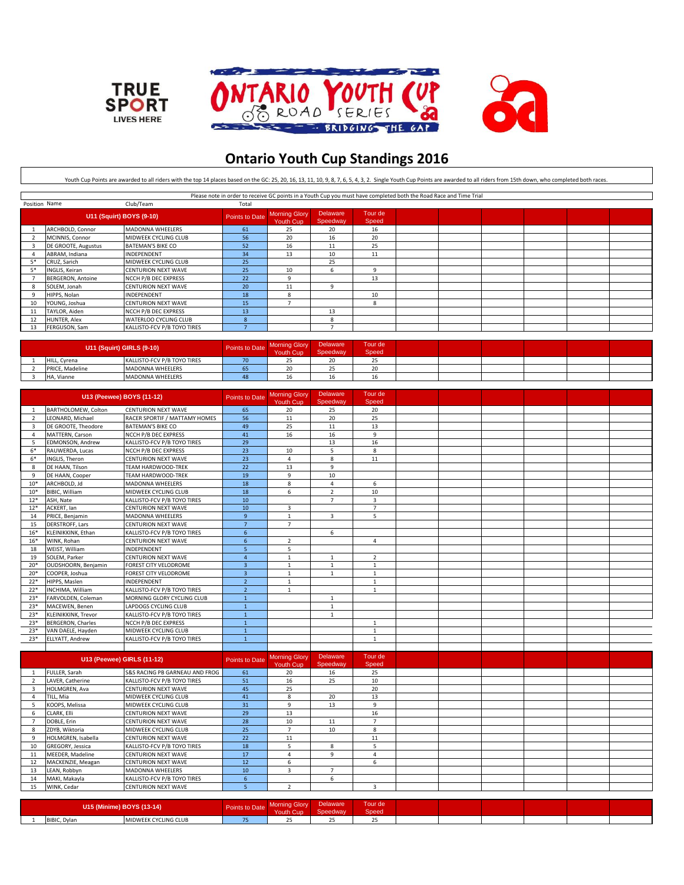





## **Ontario Youth Cup Standings 2016**

Youth Cup Points are awarded to all riders with the top 14 places based on the GC: 25, 20, 16, 13, 11, 10, 9, 8, 7, 6, 5, 4, 3, 2. Single Youth Cup Points are awarded to all riders from 15th down, who completed both races.

|                          | Please note in order to receive GC points in a Youth Cup you must have completed both the Road Race and Time Trial |                             |                |                                   |                      |                  |  |  |  |  |  |  |
|--------------------------|--------------------------------------------------------------------------------------------------------------------|-----------------------------|----------------|-----------------------------------|----------------------|------------------|--|--|--|--|--|--|
| Position Name            |                                                                                                                    | Club/Team                   | Total          |                                   |                      |                  |  |  |  |  |  |  |
| U11 (Squirt) BOYS (9-10) |                                                                                                                    |                             | Points to Date | <b>Morning Glory</b><br>Youth Cup | Delaware<br>Speedway | Tour de<br>Speed |  |  |  |  |  |  |
|                          | ARCHBOLD, Connor                                                                                                   | <b>MADONNA WHEELERS</b>     | 61             | 25                                | 20                   | 16               |  |  |  |  |  |  |
|                          | MCINNIS, Connor                                                                                                    | MIDWEEK CYCLING CLUB        | 56             | 20                                | 16                   | 20               |  |  |  |  |  |  |
|                          | DE GROOTE, Augustus                                                                                                | <b>BATEMAN'S BIKE CO</b>    | 52             | 16                                | 11                   | 25               |  |  |  |  |  |  |
|                          | ABRAM, Indiana                                                                                                     | INDEPENDENT                 | 34             | 13                                | 10                   | 11               |  |  |  |  |  |  |
| 5*                       | CRUZ, Sarich                                                                                                       | MIDWEEK CYCLING CLUB        | 25             |                                   | 25                   |                  |  |  |  |  |  |  |
| $5*$                     | INGLIS, Keiran                                                                                                     | <b>CENTURION NEXT WAVE</b>  | 25             | 10                                | h                    |                  |  |  |  |  |  |  |
|                          | <b>BERGERON, Antoine</b>                                                                                           | NCCH P/B DEC EXPRESS        | 22             |                                   |                      | 13               |  |  |  |  |  |  |
|                          | SOLEM, Jonah                                                                                                       | <b>CENTURION NEXT WAVE</b>  | 20             | 11                                |                      |                  |  |  |  |  |  |  |
|                          | HIPPS, Nolan                                                                                                       | <b>INDEPENDENT</b>          | 18             |                                   |                      | 10               |  |  |  |  |  |  |
| 10                       | YOUNG, Joshua                                                                                                      | <b>CENTURION NEXT WAVE</b>  | 15             |                                   |                      | 8                |  |  |  |  |  |  |
| 11                       | TAYLOR, Aiden                                                                                                      | NCCH P/B DEC EXPRESS        | 13             |                                   | 13                   |                  |  |  |  |  |  |  |
| 12                       | <b>HUNTER, Alex</b>                                                                                                | WATERLOO CYCLING CLUB       | -8             |                                   | 8                    |                  |  |  |  |  |  |  |
| 13                       | FERGUSON, Sam                                                                                                      | KALLISTO-FCV P/B TOYO TIRES |                |                                   |                      |                  |  |  |  |  |  |  |

| <b>U11 (Squirt) GIRLS (9-10)</b> |                             | Points to Date | Morning Glory<br>Youth Cup | Delaware<br>Speedway | Tour de<br>Speed |  |  |  |
|----------------------------------|-----------------------------|----------------|----------------------------|----------------------|------------------|--|--|--|
| HILL, Cyrena                     | KALLISTO-FCV P/B TOYO TIRES | 70             | --                         | $\sim$               | $-$              |  |  |  |
| PRICE, Madeline                  | MADONNA WHEELERS            | כס             | $\sim$<br>ZU.              |                      |                  |  |  |  |
| HA, Vianne                       | MADONNA WHEELERS            | 48             | 16                         |                      | 16               |  |  |  |

|                 |                          | U13 (Peewee) BOYS (11-12)     | Points to Date           | <b>Morning Glory</b><br><b>Youth Cup</b> | <b>Delaware</b><br>Speedway | Tour de<br>Speed |  |  |  |
|-----------------|--------------------------|-------------------------------|--------------------------|------------------------------------------|-----------------------------|------------------|--|--|--|
|                 | BARTHOLOMEW, Colton      | <b>CENTURION NEXT WAVE</b>    | 65                       | 20                                       | 25                          | 20               |  |  |  |
|                 | LEONARD, Michael         | RACER SPORTIF / MATTAMY HOMES | 56                       | 11                                       | 20                          | 25               |  |  |  |
| $\overline{3}$  | DE GROOTE. Theodore      | <b>BATEMAN'S BIKE CO</b>      | 49                       | 25                                       | 11                          | 13               |  |  |  |
|                 | MATTERN, Carson          | NCCH P/B DEC EXPRESS          | 41                       | 16                                       | 16                          | 9                |  |  |  |
|                 | <b>EDMONSON, Andrew</b>  | KALLISTO-FCV P/B TOYO TIRES   | 29                       |                                          | 13                          | 16               |  |  |  |
| $6*$            | RAUWERDA, Lucas          | NCCH P/B DEC EXPRESS          | 23                       | 10                                       | 5.                          | 8                |  |  |  |
| $6*$            | INGLIS, Theron           | <b>CENTURION NEXT WAVE</b>    | 23                       | $\lambda$                                | 8                           | 11               |  |  |  |
| 8               | DE HAAN, Tilson          | <b>TEAM HARDWOOD-TREK</b>     | 22                       | 13                                       | 9                           |                  |  |  |  |
| q               | DE HAAN, Cooper          | <b>TEAM HARDWOOD-TREK</b>     | 19                       | $\mathbf{q}$                             | 10                          |                  |  |  |  |
| $10*$           | ARCHBOLD, Jd             | <b>MADONNA WHEELERS</b>       | 18                       | 8                                        | Δ                           | 6                |  |  |  |
| $10*$           | BIBIC, William           | MIDWEEK CYCLING CLUB          | 18                       | 6                                        | $\overline{2}$              | 10               |  |  |  |
| $12*$           | ASH, Nate                | KALLISTO-FCV P/B TOYO TIRES   | 10                       |                                          | $\overline{7}$              | 3                |  |  |  |
| $12*$           | ACKERT. Ian              | <b>CENTURION NEXT WAVE</b>    | 10                       | $\overline{3}$                           |                             | $\overline{7}$   |  |  |  |
| 14              | PRICE, Benjamin          | MADONNA WHEELERS              | 9                        | 1                                        | $\overline{3}$              | 5                |  |  |  |
| 15              | DERSTROFF, Lars          | <b>CENTURION NEXT WAVE</b>    | $\overline{7}$           | $\overline{7}$                           |                             |                  |  |  |  |
| 16 <sup>8</sup> | KLEINIKKINK, Ethan       | KALLISTO-FCV P/B TOYO TIRES   | 6                        |                                          | 6                           |                  |  |  |  |
| $16*$           | WINK, Rohan              | <b>CENTURION NEXT WAVE</b>    | 6                        | 2                                        |                             | 4                |  |  |  |
| 18              | WEIST. William           | INDEPENDENT                   | 5                        | 5                                        |                             |                  |  |  |  |
| 19              | SOLEM, Parker            | <b>CENTURION NEXT WAVE</b>    | $\overline{a}$           | $\mathbf{1}$                             |                             | $\overline{2}$   |  |  |  |
| $20*$           | OUDSHOORN, Benjamin      | FOREST CITY VELODROME         | $\overline{\mathbf{3}}$  | 1                                        | $\mathbf{1}$                | $\mathbf{1}$     |  |  |  |
| $20*$           | COOPER, Joshua           | FOREST CITY VELODROME         | $\overline{3}$           | 1                                        | $\mathbf{1}$                | $\mathbf{1}$     |  |  |  |
| $22*$           | HIPPS, Maslen            | INDEPENDENT                   | $\overline{\phantom{a}}$ | 1                                        |                             | $\mathbf{1}$     |  |  |  |
| $22*$           | INCHIMA, William         | KALLISTO-FCV P/B TOYO TIRES   | $\overline{z}$           | 1                                        |                             | $\mathbf{1}$     |  |  |  |
| $23*$           | FARVOLDEN, Coleman       | MORNING GLORY CYCLING CLUB    | $\mathbf{1}$             |                                          |                             |                  |  |  |  |
| $23*$           | MACEWEN, Benen           | LAPDOGS CYCLING CLUB          | $\mathbf{1}$             |                                          |                             |                  |  |  |  |
| $23*$           | KLEINIKKINK, Trevor      | KALLISTO-FCV P/B TOYO TIRES   | $\overline{1}$           |                                          |                             |                  |  |  |  |
| $23*$           | <b>BERGERON, Charles</b> | NCCH P/B DEC EXPRESS          | $\mathbf{1}$             |                                          |                             | $\mathbf{1}$     |  |  |  |
| $23*$           | VAN DAELE, Hayden        | MIDWEEK CYCLING CLUB          | $\mathbf{1}$             |                                          |                             | 1                |  |  |  |
| $23*$           | ELLYATT, Andrew          | KALLISTO-FCV P/B TOYO TIRES   | $\mathbf{1}$             |                                          |                             | $\mathbf{1}$     |  |  |  |
|                 |                          |                               |                          |                                          |                             |                  |  |  |  |

|    | U13 (Peewee) GIRLS (11-12) |                                |                 | <b>Morning Glory</b><br>Youth Cup | Delaware<br>Speedway | Tour de<br>Speed |  |  |  |
|----|----------------------------|--------------------------------|-----------------|-----------------------------------|----------------------|------------------|--|--|--|
|    | FULLER, Sarah              | S&S RACING PB GARNEAU AND FROG | 61              | 20                                | 16                   | 25               |  |  |  |
|    | LAVER, Catherine           | KALLISTO-FCV P/B TOYO TIRES    | 51              | 16                                | 25                   | 10               |  |  |  |
|    | HOLMGREN, Ava              | <b>CENTURION NEXT WAVE</b>     | 45              | 25                                |                      | 20               |  |  |  |
|    | TILL, Mia                  | MIDWEEK CYCLING CLUB           | 41              | я                                 | 20                   | 13               |  |  |  |
|    | KOOPS, Melissa             | MIDWEEK CYCLING CLUB           | 31              |                                   | 13                   | 9                |  |  |  |
|    | CLARK, Elli                | <b>CENTURION NEXT WAVE</b>     | 29              | 13                                |                      | 16               |  |  |  |
|    | DOBLE, Erin                | <b>CENTURION NEXT WAVE</b>     | 28              | 10                                | 11                   |                  |  |  |  |
|    | ZDYB. Wiktoria             | MIDWEEK CYCLING CLUB           | 25              |                                   | 10                   | 8                |  |  |  |
|    | HOLMGREN, Isabella         | <b>CENTURION NEXT WAVE</b>     | 22              | 11                                |                      | 11               |  |  |  |
| 10 | GREGORY, Jessica           | KALLISTO-FCV P/B TOYO TIRES    | 18              |                                   |                      |                  |  |  |  |
| 11 | MEEDER, Madeline           | <b>CENTURION NEXT WAVE</b>     | 17              |                                   |                      |                  |  |  |  |
| 12 | MACKENZIE, Meagan          | <b>CENTURION NEXT WAVE</b>     | 12 <sup>7</sup> |                                   |                      | h                |  |  |  |
| 13 | LEAN, Robbyn               | MADONNA WHEELERS               | 10 <sup>°</sup> |                                   |                      |                  |  |  |  |
| 14 | MAKI, Makayla              | KALLISTO-FCV P/B TOYO TIRES    | h               |                                   | h                    |                  |  |  |  |
| 15 | WINK, Cedar                | <b>CENTURION NEXT WAVE</b>     |                 |                                   |                      |                  |  |  |  |

| U <sub>15</sub><br>(Minime) BOYS (13-14) |                      |        | <b>Service</b><br>Youth Cup | Delaware<br>obeeuway | -<br>'our de<br>Speed |  |  |  |
|------------------------------------------|----------------------|--------|-----------------------------|----------------------|-----------------------|--|--|--|
| BIBIC, Dylan                             | MIDWEEK CYCLING CLUB | $\sim$ |                             |                      |                       |  |  |  |